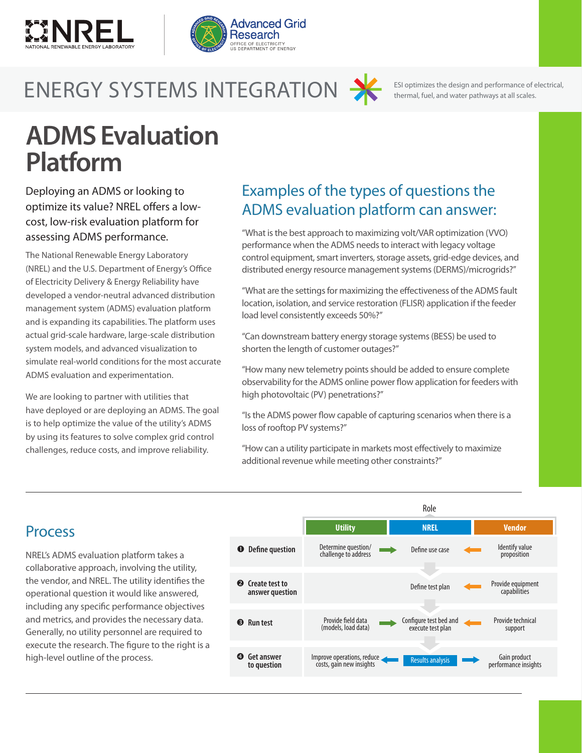



# ENERGY SYSTEMS INTEGRATION SESI optimizes the design and performance of electrical, fuel, and water pathways at all scales.



ESI optimizes the design and performance of electrical,

# **ADMS Evaluation Platform**

Deploying an ADMS or looking to optimize its value? NREL offers a lowcost, low-risk evaluation platform for assessing ADMS performance.

The National Renewable Energy Laboratory (NREL) and the U.S. Department of Energy's Office of Electricity Delivery & Energy Reliability have developed a vendor-neutral advanced distribution management system (ADMS) evaluation platform and is expanding its capabilities. The platform uses actual grid-scale hardware, large-scale distribution system models, and advanced visualization to simulate real-world conditions for the most accurate ADMS evaluation and experimentation.

We are looking to partner with utilities that have deployed or are deploying an ADMS. The goal is to help optimize the value of the utility's ADMS by using its features to solve complex grid control challenges, reduce costs, and improve reliability.

## Examples of the types of questions the ADMS evaluation platform can answer:

"What is the best approach to maximizing volt/VAR optimization (VVO) performance when the ADMS needs to interact with legacy voltage control equipment, smart inverters, storage assets, grid-edge devices, and distributed energy resource management systems (DERMS)/microgrids?"

"What are the settings for maximizing the effectiveness of the ADMS fault location, isolation, and service restoration (FLISR) application if the feeder load level consistently exceeds 50%?"

"Can downstream battery energy storage systems (BESS) be used to shorten the length of customer outages?"

"How many new telemetry points should be added to ensure complete observability for the ADMS online power flow application for feeders with high photovoltaic (PV) penetrations?"

"Is the ADMS power flow capable of capturing scenarios when there is a loss of rooftop PV systems?"

"How can a utility participate in markets most effectively to maximize additional revenue while meeting other constraints?"

### Process

NREL's ADMS evaluation platform takes a collaborative approach, involving the utility, the vendor, and NREL. The utility identifies the operational question it would like answered, including any specific performance objectives and metrics, and provides the necessary data. Generally, no utility personnel are required to execute the research. The figure to the right is a high-level outline of the process.